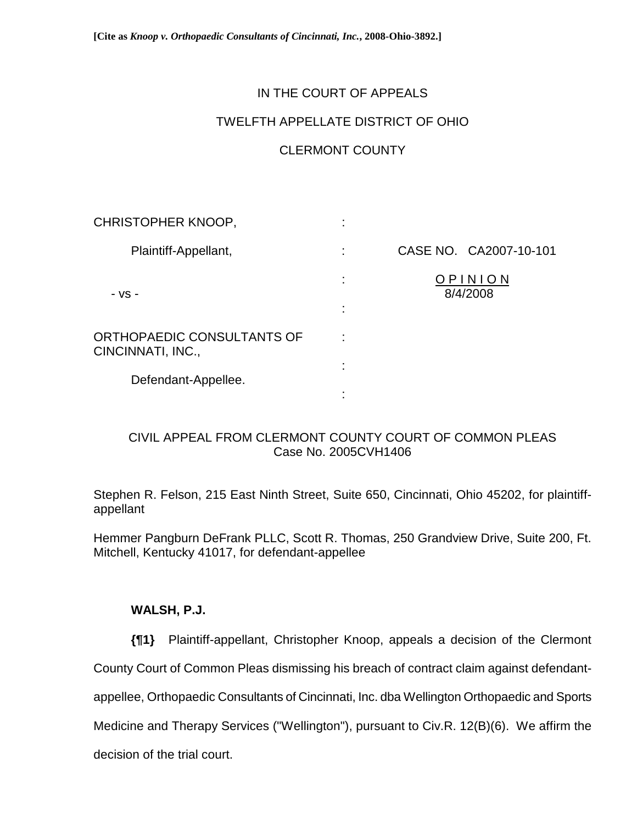**[Cite as** *Knoop v. Orthopaedic Consultants of Cincinnati, Inc.***, 2008-Ohio-3892.]**

## IN THE COURT OF APPEALS

### TWELFTH APPELLATE DISTRICT OF OHIO

## CLERMONT COUNTY

| <b>CHRISTOPHER KNOOP,</b>                       |                           |
|-------------------------------------------------|---------------------------|
| Plaintiff-Appellant,                            | CASE NO. CA2007-10-101    |
| - VS -                                          | O P I N I O N<br>8/4/2008 |
| ORTHOPAEDIC CONSULTANTS OF<br>CINCINNATI, INC., |                           |
| Defendant-Appellee.                             |                           |

# CIVIL APPEAL FROM CLERMONT COUNTY COURT OF COMMON PLEAS Case No. 2005CVH1406

Stephen R. Felson, 215 East Ninth Street, Suite 650, Cincinnati, Ohio 45202, for plaintiffappellant

Hemmer Pangburn DeFrank PLLC, Scott R. Thomas, 250 Grandview Drive, Suite 200, Ft. Mitchell, Kentucky 41017, for defendant-appellee

### **WALSH, P.J.**

**{¶1}** Plaintiff-appellant, Christopher Knoop, appeals a decision of the Clermont County Court of Common Pleas dismissing his breach of contract claim against defendantappellee, Orthopaedic Consultants of Cincinnati, Inc. dba Wellington Orthopaedic and Sports Medicine and Therapy Services ("Wellington"), pursuant to Civ.R. 12(B)(6). We affirm the

decision of the trial court.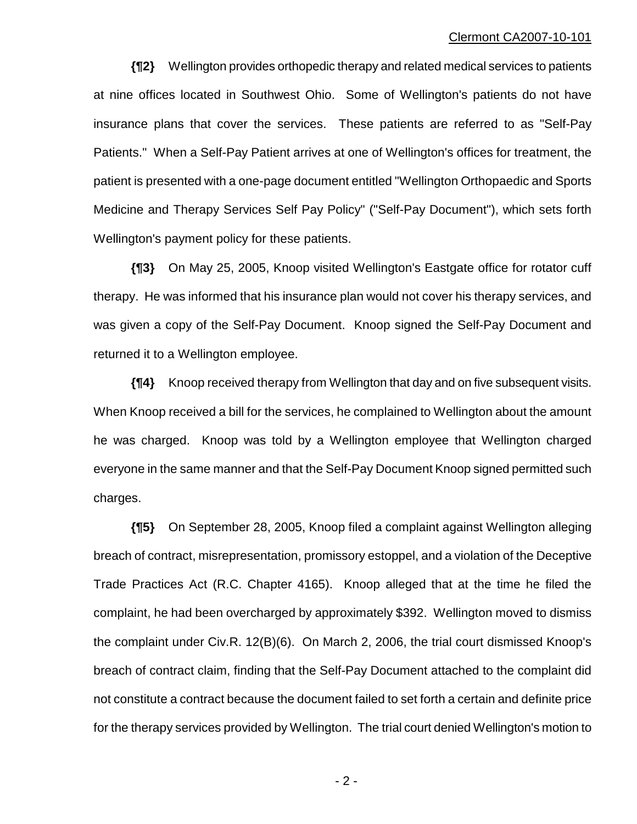#### Clermont CA2007-10-101

**{¶2}** Wellington provides orthopedic therapy and related medical services to patients at nine offices located in Southwest Ohio. Some of Wellington's patients do not have insurance plans that cover the services. These patients are referred to as "Self-Pay Patients." When a Self-Pay Patient arrives at one of Wellington's offices for treatment, the patient is presented with a one-page document entitled "Wellington Orthopaedic and Sports Medicine and Therapy Services Self Pay Policy" ("Self-Pay Document"), which sets forth Wellington's payment policy for these patients.

**{¶3}** On May 25, 2005, Knoop visited Wellington's Eastgate office for rotator cuff therapy. He was informed that his insurance plan would not cover his therapy services, and was given a copy of the Self-Pay Document. Knoop signed the Self-Pay Document and returned it to a Wellington employee.

**{¶4}** Knoop received therapy from Wellington that day and on five subsequent visits. When Knoop received a bill for the services, he complained to Wellington about the amount he was charged. Knoop was told by a Wellington employee that Wellington charged everyone in the same manner and that the Self-Pay Document Knoop signed permitted such charges.

**{¶5}** On September 28, 2005, Knoop filed a complaint against Wellington alleging breach of contract, misrepresentation, promissory estoppel, and a violation of the Deceptive Trade Practices Act (R.C. Chapter 4165). Knoop alleged that at the time he filed the complaint, he had been overcharged by approximately \$392. Wellington moved to dismiss the complaint under Civ.R. 12(B)(6). On March 2, 2006, the trial court dismissed Knoop's breach of contract claim, finding that the Self-Pay Document attached to the complaint did not constitute a contract because the document failed to set forth a certain and definite price for the therapy services provided by Wellington. The trial court denied Wellington's motion to

 $-2$  -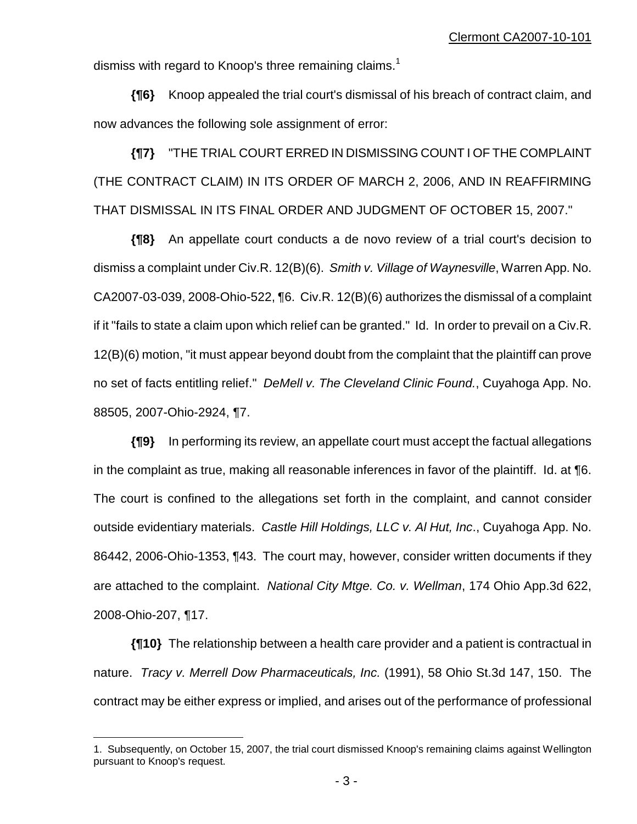dismiss with regard to Knoop's three remaining claims.<sup>1</sup>

**{¶6}** Knoop appealed the trial court's dismissal of his breach of contract claim, and now advances the following sole assignment of error:

**{¶7}** "THE TRIAL COURT ERRED IN DISMISSING COUNT I OF THE COMPLAINT (THE CONTRACT CLAIM) IN ITS ORDER OF MARCH 2, 2006, AND IN REAFFIRMING THAT DISMISSAL IN ITS FINAL ORDER AND JUDGMENT OF OCTOBER 15, 2007."

**{¶8}** An appellate court conducts a de novo review of a trial court's decision to dismiss a complaint under Civ.R. 12(B)(6). *Smith v. Village of Waynesville*, Warren App. No. CA2007-03-039, 2008-Ohio-522, ¶6. Civ.R. 12(B)(6) authorizes the dismissal of a complaint if it "fails to state a claim upon which relief can be granted." Id. In order to prevail on a Civ.R. 12(B)(6) motion, "it must appear beyond doubt from the complaint that the plaintiff can prove no set of facts entitling relief." *DeMell v. The Cleveland Clinic Found.*, Cuyahoga App. No. 88505, 2007-Ohio-2924, ¶7.

**{¶9}** In performing its review, an appellate court must accept the factual allegations in the complaint as true, making all reasonable inferences in favor of the plaintiff. Id. at ¶6. The court is confined to the allegations set forth in the complaint, and cannot consider outside evidentiary materials. *Castle Hill Holdings, LLC v. Al Hut, Inc*., Cuyahoga App. No. 86442, 2006-Ohio-1353, ¶43. The court may, however, consider written documents if they are attached to the complaint. *National City Mtge. Co. v. Wellman*, 174 Ohio App.3d 622, 2008-Ohio-207, ¶17.

**{¶10}** The relationship between a health care provider and a patient is contractual in nature. *Tracy v. Merrell Dow Pharmaceuticals, Inc.* (1991), 58 Ohio St.3d 147, 150. The contract may be either express or implied, and arises out of the performance of professional

1

<sup>1.</sup> Subsequently, on October 15, 2007, the trial court dismissed Knoop's remaining claims against Wellington pursuant to Knoop's request.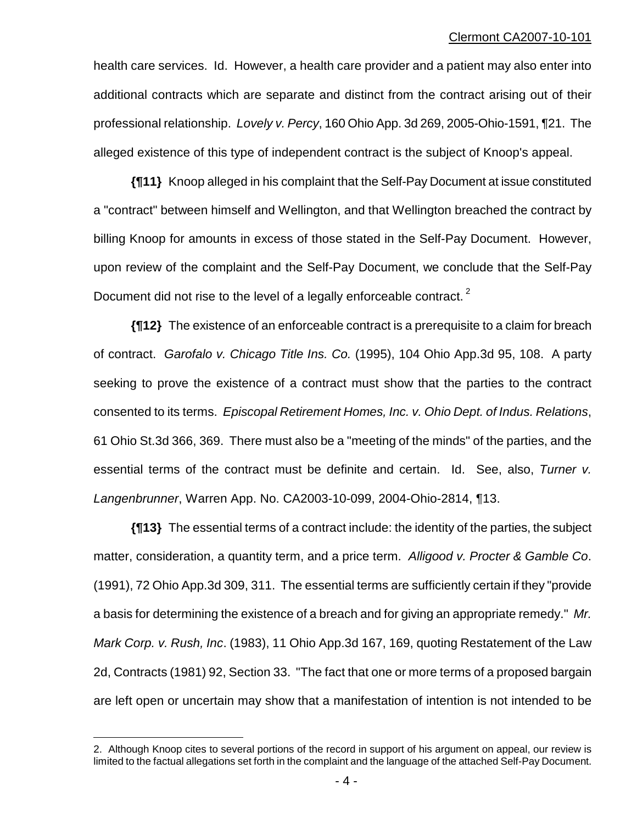#### Clermont CA2007-10-101

health care services. Id. However, a health care provider and a patient may also enter into additional contracts which are separate and distinct from the contract arising out of their professional relationship. *Lovely v. Percy*, 160 Ohio App. 3d 269, 2005-Ohio-1591, ¶21. The alleged existence of this type of independent contract is the subject of Knoop's appeal.

**{¶11}** Knoop alleged in his complaint that the Self-Pay Document at issue constituted a "contract" between himself and Wellington, and that Wellington breached the contract by billing Knoop for amounts in excess of those stated in the Self-Pay Document. However, upon review of the complaint and the Self-Pay Document, we conclude that the Self-Pay Document did not rise to the level of a legally enforceable contract.  $2^2$ 

**{¶12}** The existence of an enforceable contract is a prerequisite to a claim for breach of contract. *Garofalo v. Chicago Title Ins. Co.* (1995), 104 Ohio App.3d 95, 108. A party seeking to prove the existence of a contract must show that the parties to the contract consented to its terms. *Episcopal Retirement Homes, Inc. v. Ohio Dept. of Indus. Relations*, 61 Ohio St.3d 366, 369. There must also be a "meeting of the minds" of the parties, and the essential terms of the contract must be definite and certain. Id. See, also, *Turner v. Langenbrunner*, Warren App. No. CA2003-10-099, 2004-Ohio-2814, ¶13.

**{¶13}** The essential terms of a contract include: the identity of the parties, the subject matter, consideration, a quantity term, and a price term. *Alligood v. Procter & Gamble Co*. (1991), 72 Ohio App.3d 309, 311. The essential terms are sufficiently certain if they "provide a basis for determining the existence of a breach and for giving an appropriate remedy." *Mr. Mark Corp. v. Rush, Inc*. (1983), 11 Ohio App.3d 167, 169, quoting Restatement of the Law 2d, Contracts (1981) 92, Section 33. "The fact that one or more terms of a proposed bargain are left open or uncertain may show that a manifestation of intention is not intended to be

1

<sup>2.</sup> Although Knoop cites to several portions of the record in support of his argument on appeal, our review is limited to the factual allegations set forth in the complaint and the language of the attached Self-Pay Document.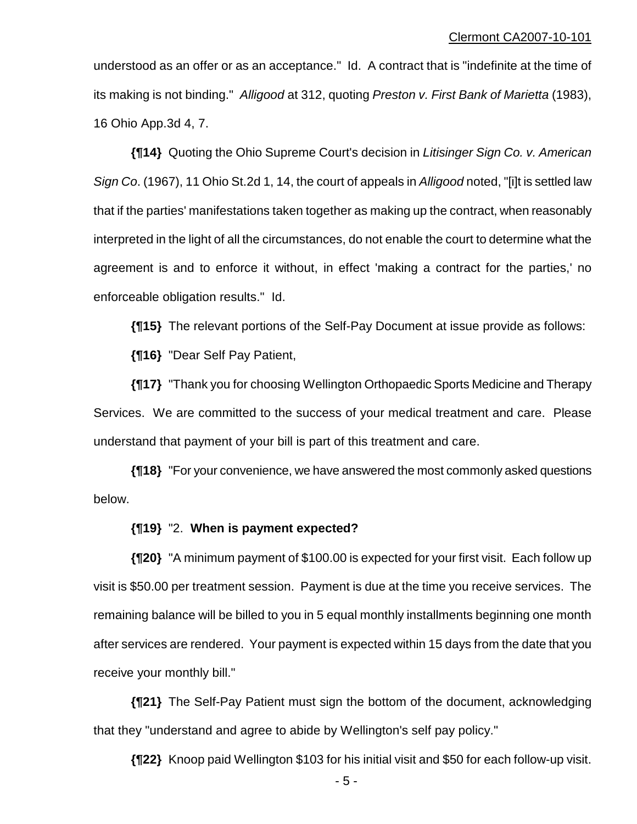understood as an offer or as an acceptance." Id. A contract that is "indefinite at the time of its making is not binding." *Alligood* at 312, quoting *Preston v. First Bank of Marietta* (1983), 16 Ohio App.3d 4, 7.

**{¶14}** Quoting the Ohio Supreme Court's decision in *Litisinger Sign Co. v. American Sign Co*. (1967), 11 Ohio St.2d 1, 14, the court of appeals in *Alligood* noted, "[i]t is settled law that if the parties' manifestations taken together as making up the contract, when reasonably interpreted in the light of all the circumstances, do not enable the court to determine what the agreement is and to enforce it without, in effect 'making a contract for the parties,' no enforceable obligation results." Id.

**{¶15}** The relevant portions of the Self-Pay Document at issue provide as follows:

**{¶16}** "Dear Self Pay Patient,

**{¶17}** "Thank you for choosing Wellington Orthopaedic Sports Medicine and Therapy Services. We are committed to the success of your medical treatment and care. Please understand that payment of your bill is part of this treatment and care.

**{¶18}** "For your convenience, we have answered the most commonly asked questions below.

#### **{¶19}** "2. **When is payment expected?**

**{¶20}** "A minimum payment of \$100.00 is expected for your first visit. Each follow up visit is \$50.00 per treatment session. Payment is due at the time you receive services. The remaining balance will be billed to you in 5 equal monthly installments beginning one month after services are rendered. Your payment is expected within 15 days from the date that you receive your monthly bill."

**{¶21}** The Self-Pay Patient must sign the bottom of the document, acknowledging that they "understand and agree to abide by Wellington's self pay policy."

**{¶22}** Knoop paid Wellington \$103 for his initial visit and \$50 for each follow-up visit.

 $-5$  -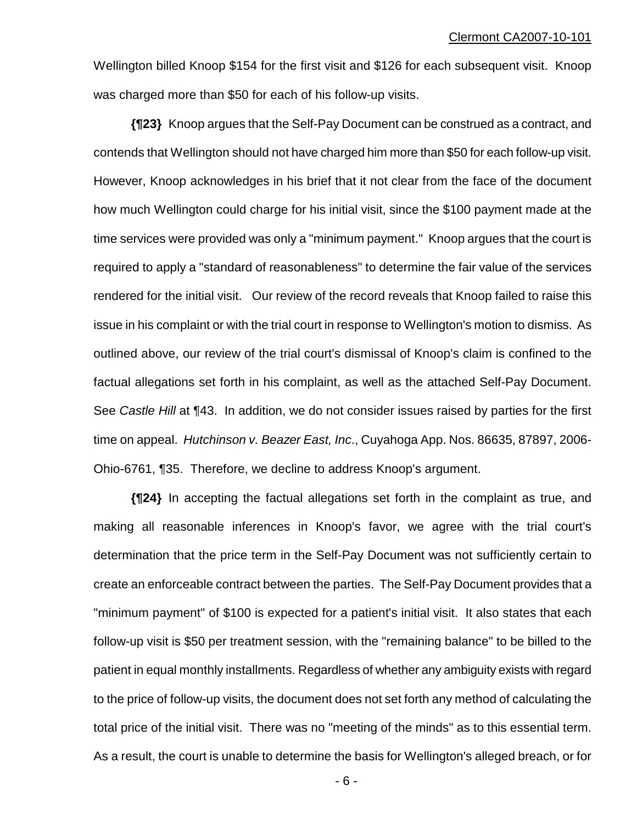Wellington billed Knoop \$154 for the first visit and \$126 for each subsequent visit. Knoop was charged more than \$50 for each of his follow-up visits.

**{¶23}** Knoop argues that the Self-Pay Document can be construed as a contract, and contends that Wellington should not have charged him more than \$50 for each follow-up visit. However, Knoop acknowledges in his brief that it not clear from the face of the document how much Wellington could charge for his initial visit, since the \$100 payment made at the time services were provided was only a "minimum payment." Knoop argues that the court is required to apply a "standard of reasonableness" to determine the fair value of the services rendered for the initial visit. Our review of the record reveals that Knoop failed to raise this issue in his complaint or with the trial court in response to Wellington's motion to dismiss. As outlined above, our review of the trial court's dismissal of Knoop's claim is confined to the factual allegations set forth in his complaint, as well as the attached Self-Pay Document. See *Castle Hill* at ¶43. In addition, we do not consider issues raised by parties for the first time on appeal. *Hutchinson v. Beazer East, Inc*., Cuyahoga App. Nos. 86635, 87897, 2006- Ohio-6761, ¶35. Therefore, we decline to address Knoop's argument.

**{¶24}** In accepting the factual allegations set forth in the complaint as true, and making all reasonable inferences in Knoop's favor, we agree with the trial court's determination that the price term in the Self-Pay Document was not sufficiently certain to create an enforceable contract between the parties. The Self-Pay Document provides that a "minimum payment" of \$100 is expected for a patient's initial visit. It also states that each follow-up visit is \$50 per treatment session, with the "remaining balance" to be billed to the patient in equal monthly installments. Regardless of whether any ambiguity exists with regard to the price of follow-up visits, the document does not set forth any method of calculating the total price of the initial visit. There was no "meeting of the minds" as to this essential term. As a result, the court is unable to determine the basis for Wellington's alleged breach, or for

- 6 -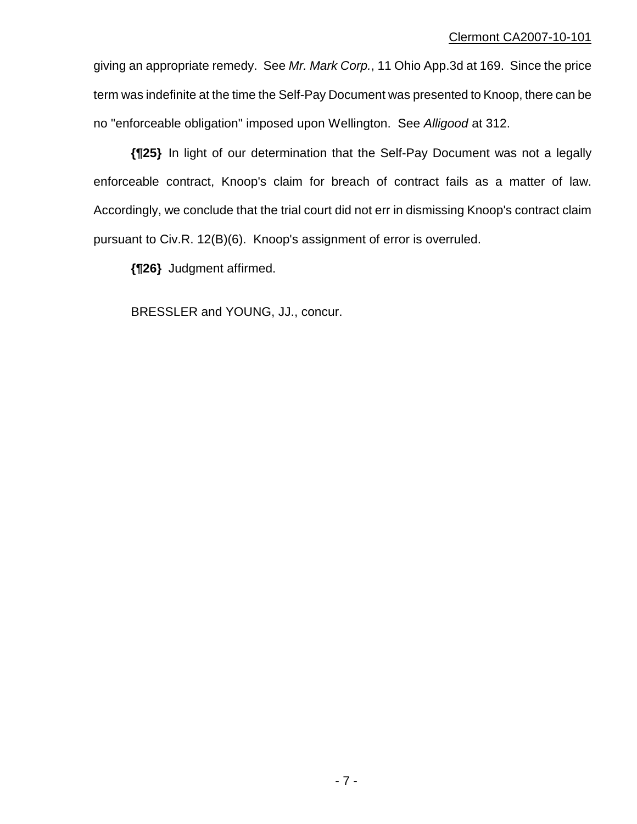giving an appropriate remedy. See *Mr. Mark Corp.*, 11 Ohio App.3d at 169. Since the price term was indefinite at the time the Self-Pay Document was presented to Knoop, there can be no "enforceable obligation" imposed upon Wellington. See *Alligood* at 312.

**{¶25}** In light of our determination that the Self-Pay Document was not a legally enforceable contract, Knoop's claim for breach of contract fails as a matter of law. Accordingly, we conclude that the trial court did not err in dismissing Knoop's contract claim pursuant to Civ.R. 12(B)(6). Knoop's assignment of error is overruled.

**{¶26}** Judgment affirmed.

BRESSLER and YOUNG, JJ., concur.